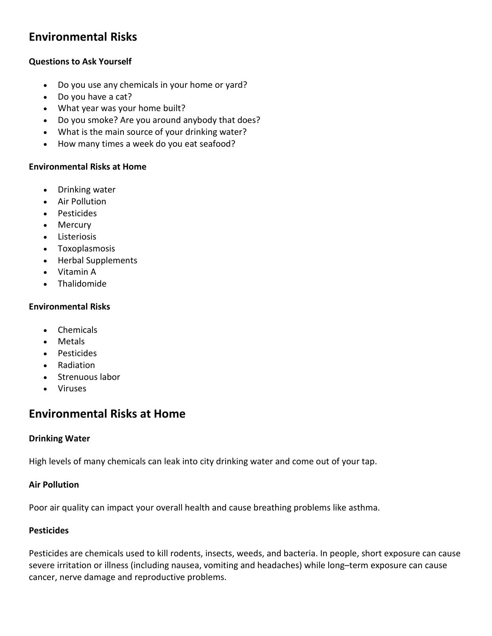# **Environmental Risks**

# **Questions to Ask Yourself**

- Do you use any chemicals in your home or yard?
- Do you have a cat?
- What year was your home built?
- Do you smoke? Are you around anybody that does?
- What is the main source of your drinking water?
- How many times a week do you eat seafood?

# **Environmental Risks at Home**

- Drinking water
- Air Pollution
- Pesticides
- Mercury
- Listeriosis
- Toxoplasmosis
- Herbal Supplements
- Vitamin A
- Thalidomide

# **Environmental Risks**

- Chemicals
- Metals
- Pesticides
- Radiation
- Strenuous labor
- Viruses

# **Environmental Risks at Home**

# **Drinking Water**

High levels of many chemicals can leak into city drinking water and come out of your tap.

# **Air Pollution**

Poor air quality can impact your overall health and cause breathing problems like asthma.

# **Pesticides**

Pesticides are chemicals used to kill rodents, insects, weeds, and bacteria. In people, short exposure can cause severe irritation or illness (including nausea, vomiting and headaches) while long–term exposure can cause cancer, nerve damage and reproductive problems.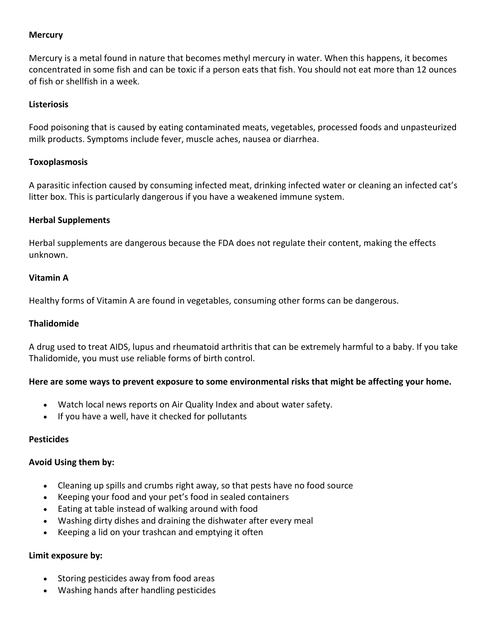#### **Mercury**

Mercury is a metal found in nature that becomes methyl mercury in water. When this happens, it becomes concentrated in some fish and can be toxic if a person eats that fish. You should not eat more than 12 ounces of fish or shellfish in a week.

#### **Listeriosis**

Food poisoning that is caused by eating contaminated meats, vegetables, processed foods and unpasteurized milk products. Symptoms include fever, muscle aches, nausea or diarrhea.

#### **Toxoplasmosis**

A parasitic infection caused by consuming infected meat, drinking infected water or cleaning an infected cat's litter box. This is particularly dangerous if you have a weakened immune system.

#### **Herbal Supplements**

Herbal supplements are dangerous because the FDA does not regulate their content, making the effects unknown.

#### **Vitamin A**

Healthy forms of Vitamin A are found in vegetables, consuming other forms can be dangerous.

#### **Thalidomide**

A drug used to treat AIDS, lupus and rheumatoid arthritis that can be extremely harmful to a baby. If you take Thalidomide, you must use reliable forms of birth control.

# **Here are some ways to prevent exposure to some environmental risks that might be affecting your home.**

- Watch local news reports on Air Quality Index and about water safety.
- If you have a well, have it checked for pollutants

#### **Pesticides**

#### **Avoid Using them by:**

- Cleaning up spills and crumbs right away, so that pests have no food source
- Keeping your food and your pet's food in sealed containers
- Eating at table instead of walking around with food
- Washing dirty dishes and draining the dishwater after every meal
- Keeping a lid on your trashcan and emptying it often

#### **Limit exposure by:**

- Storing pesticides away from food areas
- Washing hands after handling pesticides